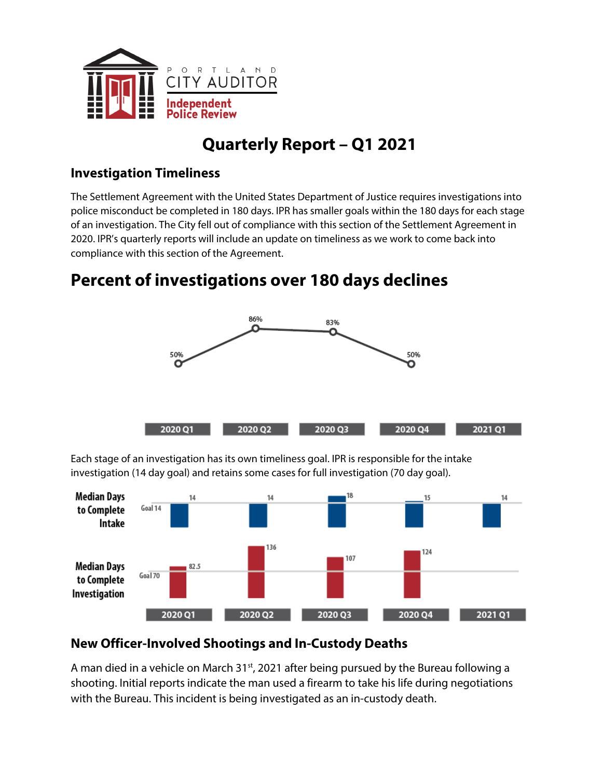

# **Quarterly Report – Q1 2021**

### **Investigation Timeliness**

The Settlement Agreement with the United States Department of Justice requires investigations into police misconduct be completed in 180 days. IPR has smaller goals within the 180 days for each stage of an investigation. The City fell out of compliance with this section of the Settlement Agreement in 2020. IPR's quarterly reports will include an update on timeliness as we work to come back into compliance with this section of the Agreement.

## **Percent of investigations over 180 days declines**



Each stage of an investigation has its own timeliness goal. IPR is responsible for the intake investigation (14 day goal) and retains some cases for full investigation (70 day goal).



### **New Officer-Involved Shootings and In-Custody Deaths**

A man died in a vehicle on March  $31<sup>st</sup>$ , 2021 after being pursued by the Bureau following a shooting. Initial reports indicate the man used a firearm to take his life during negotiations with the Bureau. This incident is being investigated as an in-custody death.